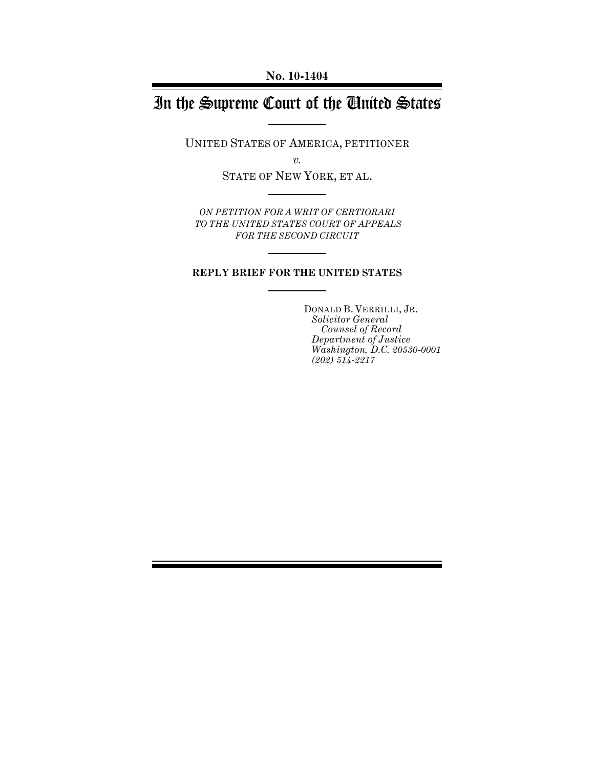# In the Supreme Court of the United States

UNITED STATES OF AMERICA, PETITIONER

*v.*

STATE OF NEW YORK, ET AL.

*ON PETITION FOR A WRIT OF CERTIORARI TO THE UNITED STATES COURT OF APPEALS FOR THE SECOND CIRCUIT*

### **REPLY BRIEF FOR THE UNITED STATES**

DONALD B. VERRILLI, JR. *Solicitor General Counsel of Record Department of Justice Washington, D.C. 20530-0001 (202) 514-2217*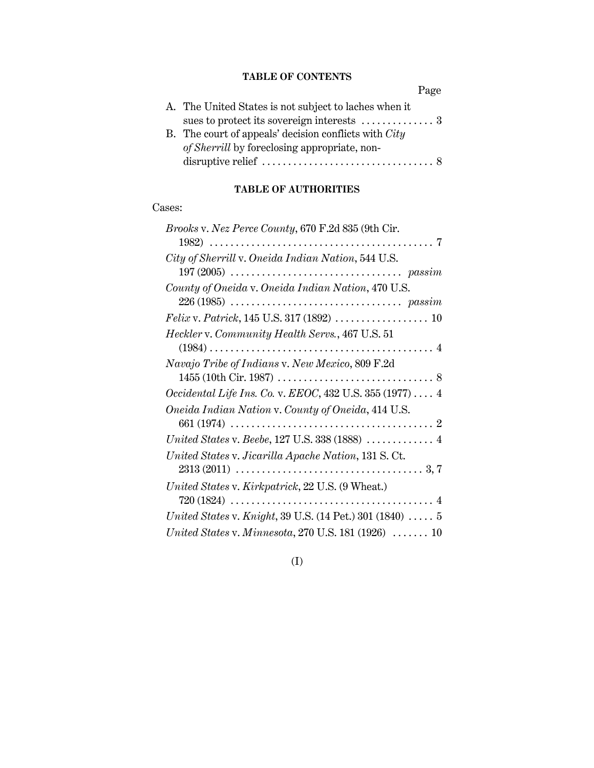## **TABLE OF CONTENTS**

|                                                                | Page |
|----------------------------------------------------------------|------|
| A. The United States is not subject to laches when it          |      |
| sues to protect its sovereign interests $\dots\dots\dots\dots$ |      |
| B. The court of appeals' decision conflicts with $City$        |      |
| of Sherrill by foreclosing appropriate, non-                   |      |
|                                                                |      |

# **TABLE OF AUTHORITIES**

## Cases:

| <i>Brooks v. Nez Perce County, 670 F.2d 835 (9th Cir.</i>                 |
|---------------------------------------------------------------------------|
| City of Sherrill v. Oneida Indian Nation, 544 U.S.                        |
| County of Oneida v. Oneida Indian Nation, 470 U.S.                        |
|                                                                           |
| Heckler v. Community Health Servs., 467 U.S. 51                           |
| Navajo Tribe of Indians v. New Mexico, 809 F.2d                           |
| <i>Occidental Life Ins. Co. v. EEOC, 432 U.S. 355 (1977)</i> 4            |
| Oneida Indian Nation v. County of Oneida, 414 U.S.                        |
| United States v. Beebe, 127 U.S. 338 (1888) $\ldots \ldots \ldots \ldots$ |
| United States v. Jicarilla Apache Nation, 131 S. Ct.                      |
| United States v. Kirkpatrick, 22 U.S. (9 Wheat.)                          |
| United States v. Knight, 39 U.S. (14 Pet.) 301 (1840) $\ldots$ 5          |
| United States v. Minnesota, 270 U.S. 181 (1926) $\ldots \ldots$ 10        |

# (I)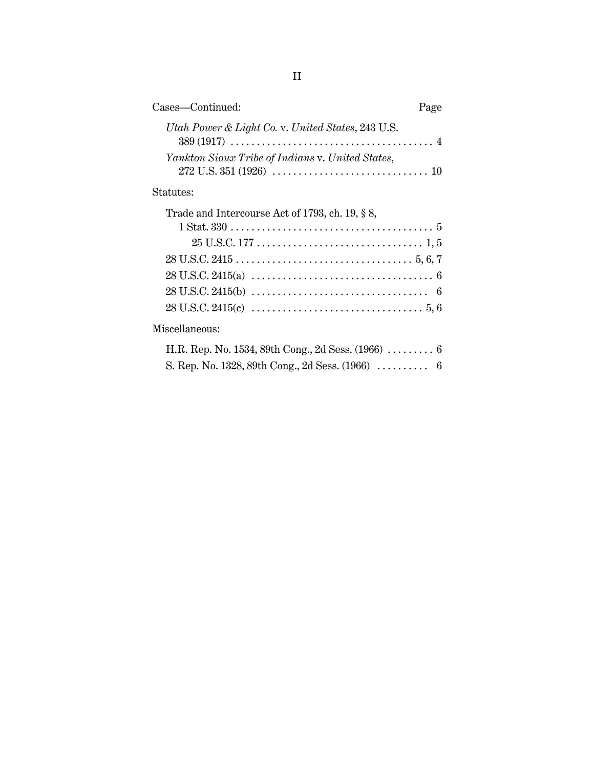| Cases-Continued:<br>Page                                                                                    |  |
|-------------------------------------------------------------------------------------------------------------|--|
| Utah Power & Light Co. v. United States, 243 U.S.                                                           |  |
| Yankton Sioux Tribe of Indians v. United States,                                                            |  |
| Statutes:                                                                                                   |  |
| Trade and Intercourse Act of 1793, ch. 19, § 8,                                                             |  |
| $1 \text{ Stat.} 330 \ldots \ldots \ldots \ldots \ldots \ldots \ldots \ldots \ldots \ldots \ldots \ldots 5$ |  |
|                                                                                                             |  |
|                                                                                                             |  |
|                                                                                                             |  |
|                                                                                                             |  |
|                                                                                                             |  |
| Miscellaneous:                                                                                              |  |

| H.R. Rep. No. 1534, 89th Cong., 2d Sess. $(1966)$ 6 |  |
|-----------------------------------------------------|--|
| S. Rep. No. 1328, 89th Cong., 2d Sess. $(1966)$ 6   |  |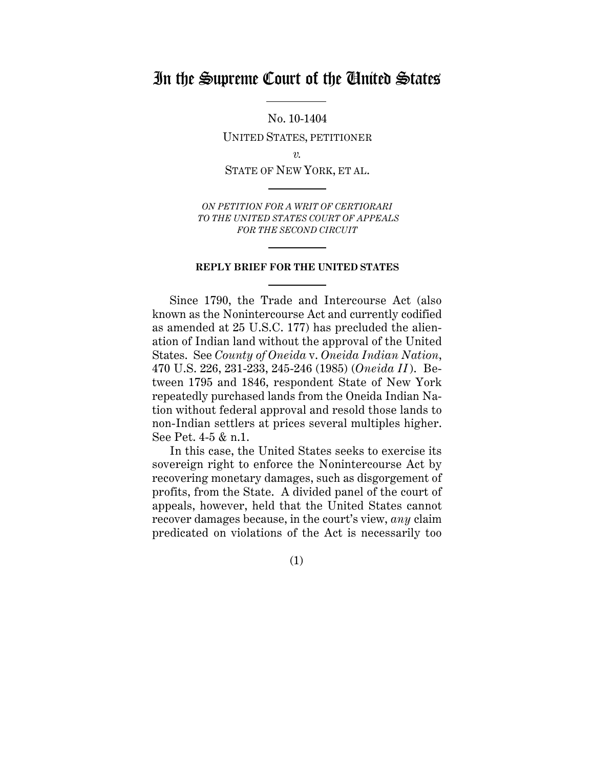# In the Supreme Court of the United States

No. 10-1404

UNITED STATES, PETITIONER

*v.*

STATE OF NEW YORK, ET AL.

*ON PETITION FOR A WRIT OF CERTIORARI TO THE UNITED STATES COURT OF APPEALS FOR THE SECOND CIRCUIT*

#### **REPLY BRIEF FOR THE UNITED STATES**

Since 1790, the Trade and Intercourse Act (also known as the Nonintercourse Act and currently codified as amended at 25 U.S.C. 177) has precluded the alienation of Indian land without the approval of the United States. See *County of Oneida* v. *Oneida Indian Nation*, 470 U.S. 226, 231-233, 245-246 (1985) (*Oneida II* ). Between 1795 and 1846, respondent State of New York repeatedly purchased lands from the Oneida Indian Nation without federal approval and resold those lands to non-Indian settlers at prices several multiples higher. See Pet. 4-5 & n.1.

In this case, the United States seeks to exercise its sovereign right to enforce the Nonintercourse Act by recovering monetary damages, such as disgorgement of profits, from the State. A divided panel of the court of appeals, however, held that the United States cannot recover damages because, in the court's view, *any* claim predicated on violations of the Act is necessarily too

(1)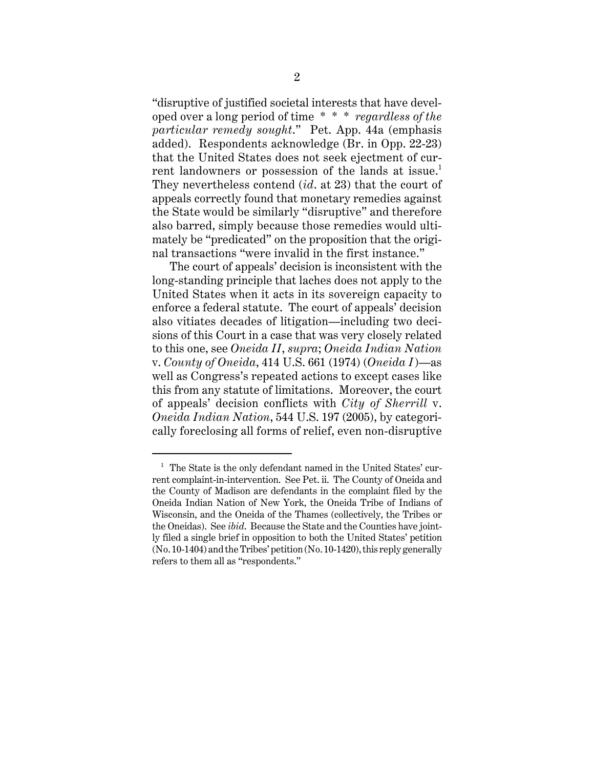"disruptive of justified societal interests that have developed over a long period of time \* \* \* *regardless of the particular remedy sought*." Pet. App. 44a (emphasis added). Respondents acknowledge (Br. in Opp. 22-23) that the United States does not seek ejectment of current landowners or possession of the lands at issue.<sup>1</sup> They nevertheless contend (*id*. at 23) that the court of appeals correctly found that monetary remedies against the State would be similarly "disruptive" and therefore also barred, simply because those remedies would ultimately be "predicated" on the proposition that the original transactions "were invalid in the first instance."

The court of appeals' decision is inconsistent with the long-standing principle that laches does not apply to the United States when it acts in its sovereign capacity to enforce a federal statute. The court of appeals' decision also vitiates decades of litigation—including two decisions of this Court in a case that was very closely related to this one, see *Oneida II*, *supra*; *Oneida Indian Nation* v. *County of Oneida*, 414 U.S. 661 (1974) (*Oneida I*)—as well as Congress's repeated actions to except cases like this from any statute of limitations. Moreover, the court of appeals' decision conflicts with *City of Sherrill* v. *Oneida Indian Nation*, 544 U.S. 197 (2005), by categorically foreclosing all forms of relief, even non-disruptive

 $1$  The State is the only defendant named in the United States' current complaint-in-intervention. See Pet. ii. The County of Oneida and the County of Madison are defendants in the complaint filed by the Oneida Indian Nation of New York, the Oneida Tribe of Indians of Wisconsin, and the Oneida of the Thames (collectively, the Tribes or the Oneidas). See *ibid*. Because the State and the Counties have jointly filed a single brief in opposition to both the United States' petition (No. 10-1404) and the Tribes' petition (No. 10-1420), this reply generally refers to them all as "respondents."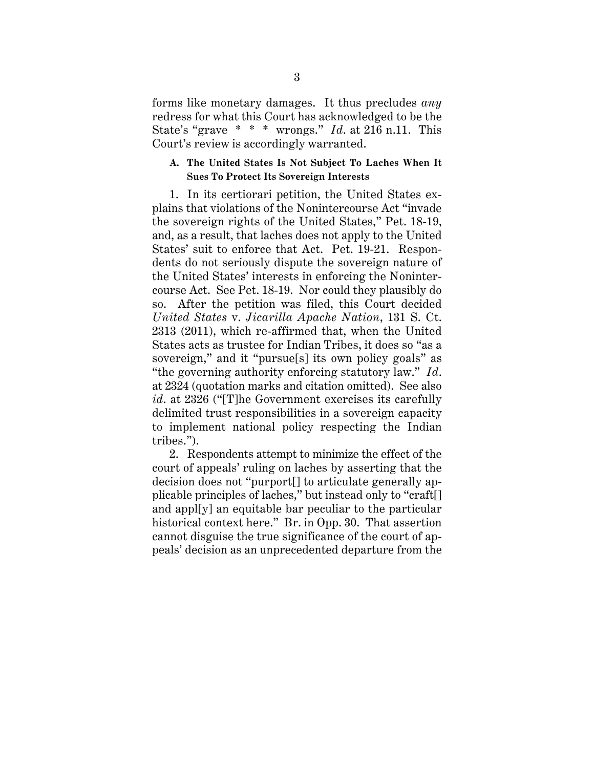forms like monetary damages. It thus precludes *any* redress for what this Court has acknowledged to be the State's "grave \* \* \* wrongs." *Id*. at 216 n.11. This Court's review is accordingly warranted.

#### **A. The United States Is Not Subject To Laches When It Sues To Protect Its Sovereign Interests**

1. In its certiorari petition, the United States explains that violations of the Nonintercourse Act "invade the sovereign rights of the United States," Pet. 18-19, and, as a result, that laches does not apply to the United States' suit to enforce that Act. Pet. 19-21. Respondents do not seriously dispute the sovereign nature of the United States' interests in enforcing the Nonintercourse Act. See Pet. 18-19. Nor could they plausibly do so. After the petition was filed, this Court decided *United States* v. *Jicarilla Apache Nation*, 131 S. Ct. 2313 (2011), which re-affirmed that, when the United States acts as trustee for Indian Tribes, it does so "as a sovereign," and it "pursue[s] its own policy goals" as "the governing authority enforcing statutory law." *Id*. at 2324 (quotation marks and citation omitted). See also *id*. at 2326 ("[T]he Government exercises its carefully delimited trust responsibilities in a sovereign capacity to implement national policy respecting the Indian tribes.").

2. Respondents attempt to minimize the effect of the court of appeals' ruling on laches by asserting that the decision does not "purport[] to articulate generally applicable principles of laches," but instead only to "craft[] and appl[y] an equitable bar peculiar to the particular historical context here." Br. in Opp. 30. That assertion cannot disguise the true significance of the court of appeals' decision as an unprecedented departure from the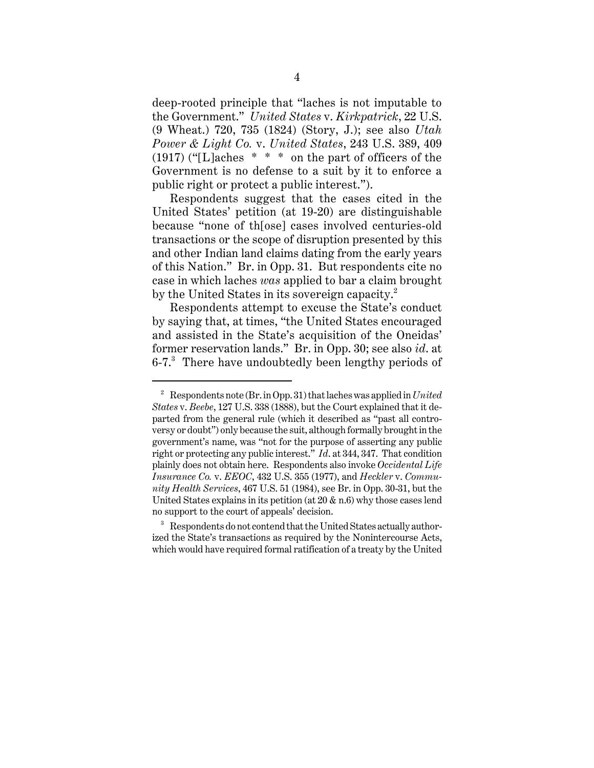deep-rooted principle that "laches is not imputable to the Government." *United States* v. *Kirkpatrick*, 22 U.S. (9 Wheat.) 720, 735 (1824) (Story, J.); see also *Utah Power & Light Co.* v. *United States*, 243 U.S. 389, 409  $(1917)$  ("[L]aches  $* * *$  on the part of officers of the Government is no defense to a suit by it to enforce a public right or protect a public interest.").

Respondents suggest that the cases cited in the United States' petition (at 19-20) are distinguishable because "none of th[ose] cases involved centuries-old transactions or the scope of disruption presented by this and other Indian land claims dating from the early years of this Nation." Br. in Opp. 31. But respondents cite no case in which laches *was* applied to bar a claim brought by the United States in its sovereign capacity.<sup>2</sup>

Respondents attempt to excuse the State's conduct by saying that, at times, "the United States encouraged and assisted in the State's acquisition of the Oneidas' former reservation lands." Br. in Opp. 30; see also *id*. at 6-7.<sup>3</sup> There have undoubtedly been lengthy periods of

<sup>2</sup> Respondents note (Br. in Opp. 31) that laches was applied in *United States* v. *Beebe*, 127 U.S. 338 (1888), but the Court explained that it departed from the general rule (which it described as "past all controversy or doubt") only because the suit, although formally brought in the government's name, was "not for the purpose of asserting any public right or protecting any public interest." *Id*. at 344, 347. That condition plainly does not obtain here. Respondents also invoke *Occidental Life Insurance Co.* v. *EEOC*, 432 U.S. 355 (1977), and *Heckler* v. *Community Health Services*, 467 U.S. 51 (1984), see Br. in Opp. 30-31, but the United States explains in its petition (at  $20 \& n.6$ ) why those cases lend no support to the court of appeals' decision.

<sup>&</sup>lt;sup>3</sup> Respondents do not contend that the United States actually authorized the State's transactions as required by the Nonintercourse Acts, which would have required formal ratification of a treaty by the United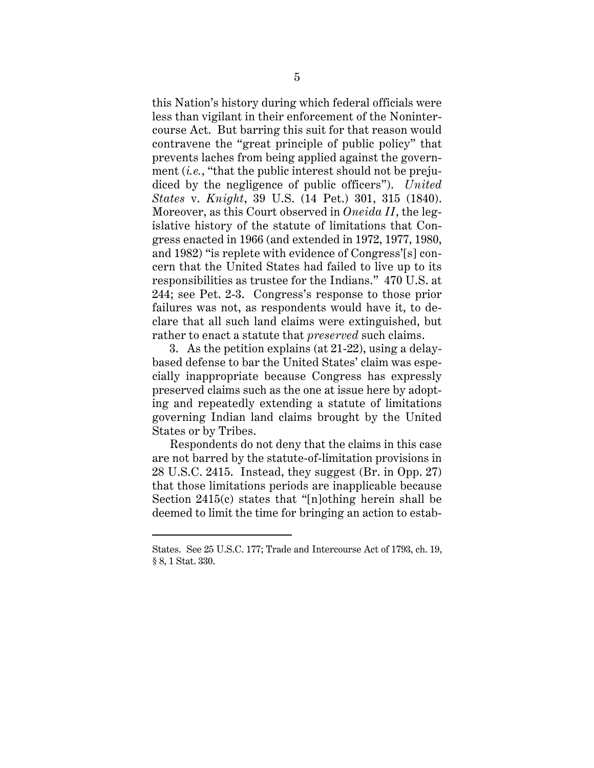this Nation's history during which federal officials were less than vigilant in their enforcement of the Nonintercourse Act. But barring this suit for that reason would contravene the "great principle of public policy" that prevents laches from being applied against the government *(i.e.*, "that the public interest should not be prejudiced by the negligence of public officers"). *United States* v. *Knight*, 39 U.S. (14 Pet.) 301, 315 (1840). Moreover, as this Court observed in *Oneida II*, the legislative history of the statute of limitations that Congress enacted in 1966 (and extended in 1972, 1977, 1980, and 1982) "is replete with evidence of Congress'[s] concern that the United States had failed to live up to its responsibilities as trustee for the Indians." 470 U.S. at 244; see Pet. 2-3. Congress's response to those prior failures was not, as respondents would have it, to declare that all such land claims were extinguished, but rather to enact a statute that *preserved* such claims.

3. As the petition explains (at 21-22), using a delaybased defense to bar the United States' claim was especially inappropriate because Congress has expressly preserved claims such as the one at issue here by adopting and repeatedly extending a statute of limitations governing Indian land claims brought by the United States or by Tribes.

Respondents do not deny that the claims in this case are not barred by the statute-of-limitation provisions in 28 U.S.C. 2415. Instead, they suggest (Br. in Opp. 27) that those limitations periods are inapplicable because Section 2415(c) states that "[n]othing herein shall be deemed to limit the time for bringing an action to estab-

States. See 25 U.S.C. 177; Trade and Intercourse Act of 1793, ch. 19, § 8, 1 Stat. 330.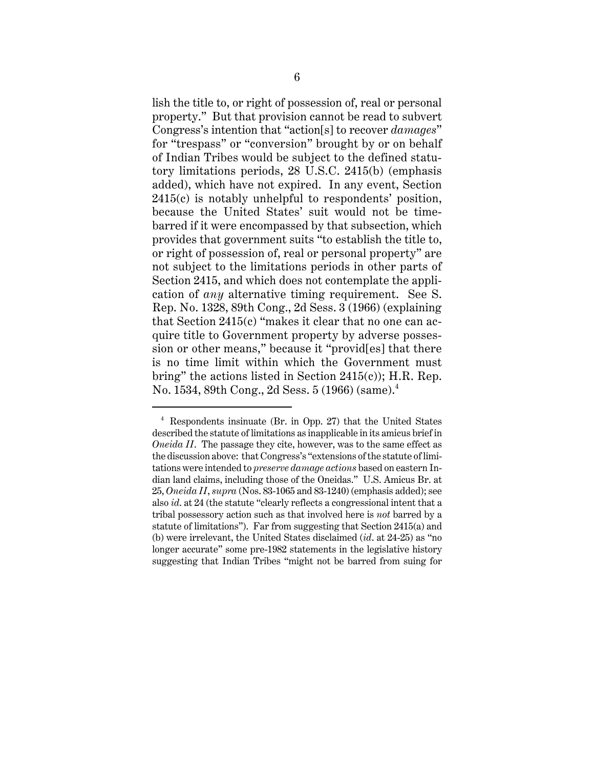lish the title to, or right of possession of, real or personal property." But that provision cannot be read to subvert Congress's intention that "action[s] to recover *damages*" for "trespass" or "conversion" brought by or on behalf of Indian Tribes would be subject to the defined statutory limitations periods, 28 U.S.C. 2415(b) (emphasis added), which have not expired. In any event, Section 2415(c) is notably unhelpful to respondents' position, because the United States' suit would not be timebarred if it were encompassed by that subsection, which provides that government suits "to establish the title to, or right of possession of, real or personal property" are not subject to the limitations periods in other parts of Section 2415, and which does not contemplate the application of *any* alternative timing requirement. See S. Rep. No. 1328, 89th Cong., 2d Sess. 3 (1966) (explaining that Section 2415(c) "makes it clear that no one can acquire title to Government property by adverse possession or other means," because it "provid[es] that there is no time limit within which the Government must bring" the actions listed in Section 2415(c)); H.R. Rep. No. 1534, 89th Cong., 2d Sess. 5 (1966) (same).<sup>4</sup>

<sup>4</sup> Respondents insinuate (Br. in Opp. 27) that the United States described the statute of limitations as inapplicable in its amicus brief in *Oneida II*. The passage they cite, however, was to the same effect as the discussion above: that Congress's "extensions of the statute of limitations were intended to *preserve damage actions* based on eastern Indian land claims, including those of the Oneidas." U.S. Amicus Br. at 25, *Oneida II*, *supra* (Nos. 83-1065 and 83-1240) (emphasis added); see also *id*. at 24 (the statute "clearly reflects a congressional intent that a tribal possessory action such as that involved here is *not* barred by a statute of limitations"). Far from suggesting that Section 2415(a) and (b) were irrelevant, the United States disclaimed (*id*. at 24-25) as "no longer accurate" some pre-1982 statements in the legislative history suggesting that Indian Tribes "might not be barred from suing for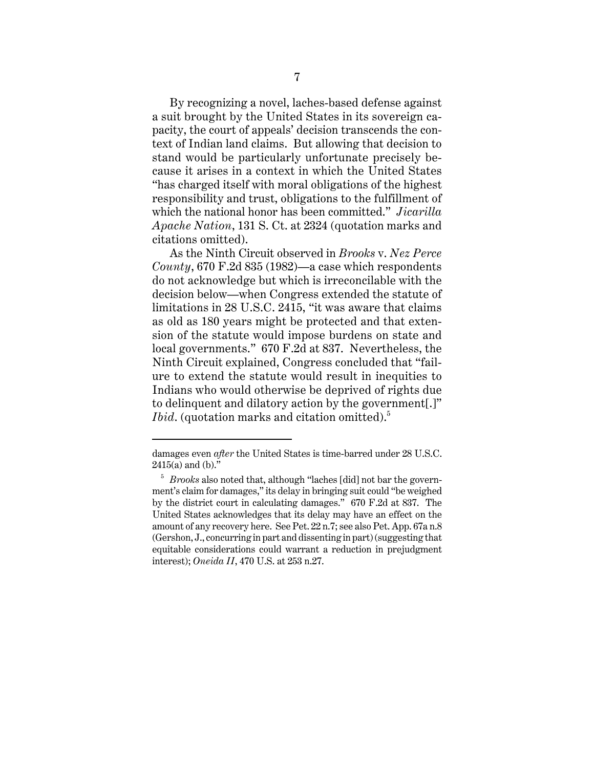By recognizing a novel, laches-based defense against a suit brought by the United States in its sovereign capacity, the court of appeals' decision transcends the context of Indian land claims. But allowing that decision to stand would be particularly unfortunate precisely because it arises in a context in which the United States "has charged itself with moral obligations of the highest responsibility and trust, obligations to the fulfillment of which the national honor has been committed." *Jicarilla Apache Nation*, 131 S. Ct. at 2324 (quotation marks and citations omitted).

As the Ninth Circuit observed in *Brooks* v. *Nez Perce County*, 670 F.2d 835 (1982)—a case which respondents do not acknowledge but which is irreconcilable with the decision below—when Congress extended the statute of limitations in 28 U.S.C. 2415, "it was aware that claims as old as 180 years might be protected and that extension of the statute would impose burdens on state and local governments." 670 F.2d at 837. Nevertheless, the Ninth Circuit explained, Congress concluded that "failure to extend the statute would result in inequities to Indians who would otherwise be deprived of rights due to delinquent and dilatory action by the government[.]" *Ibid.* (quotation marks and citation omitted).<sup>5</sup>

damages even *after* the United States is time-barred under 28 U.S.C.  $2415(a)$  and (b)."

<sup>5</sup> *Brooks* also noted that, although "laches [did] not bar the government's claim for damages," its delay in bringing suit could "be weighed by the district court in calculating damages." 670 F.2d at 837. The United States acknowledges that its delay may have an effect on the amount of any recovery here. See Pet. 22 n.7; see also Pet. App. 67a n.8 (Gershon, J., concurring in part and dissenting in part) (suggesting that equitable considerations could warrant a reduction in prejudgment interest); *Oneida II*, 470 U.S. at 253 n.27.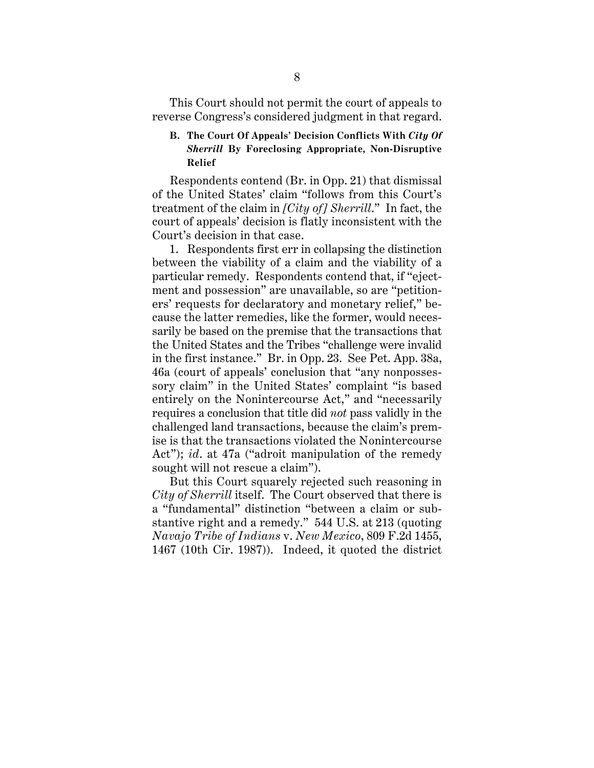This Court should not permit the court of appeals to reverse Congress's considered judgment in that regard.

## **B. The Court Of Appeals' Decision Conflicts With** *City Of Sherrill* **By Foreclosing Appropriate, Non-Disruptive Relief**

Respondents contend (Br. in Opp. 21) that dismissal of the United States' claim "follows from this Court's treatment of the claim in *[City of] Sherrill*." In fact, the court of appeals' decision is flatly inconsistent with the Court's decision in that case.

1. Respondents first err in collapsing the distinction between the viability of a claim and the viability of a particular remedy. Respondents contend that, if "ejectment and possession" are unavailable, so are "petitioners' requests for declaratory and monetary relief," because the latter remedies, like the former, would necessarily be based on the premise that the transactions that the United States and the Tribes "challenge were invalid in the first instance." Br. in Opp. 23. See Pet. App. 38a, 46a (court of appeals' conclusion that "any nonpossessory claim" in the United States' complaint "is based entirely on the Nonintercourse Act," and "necessarily requires a conclusion that title did *not* pass validly in the challenged land transactions, because the claim's premise is that the transactions violated the Nonintercourse Act"); *id*. at 47a ("adroit manipulation of the remedy sought will not rescue a claim").

But this Court squarely rejected such reasoning in *City of Sherrill* itself. The Court observed that there is a "fundamental" distinction "between a claim or substantive right and a remedy." 544 U.S. at 213 (quoting *Navajo Tribe of Indians* v. *New Mexico*, 809 F.2d 1455, 1467 (10th Cir. 1987)). Indeed, it quoted the district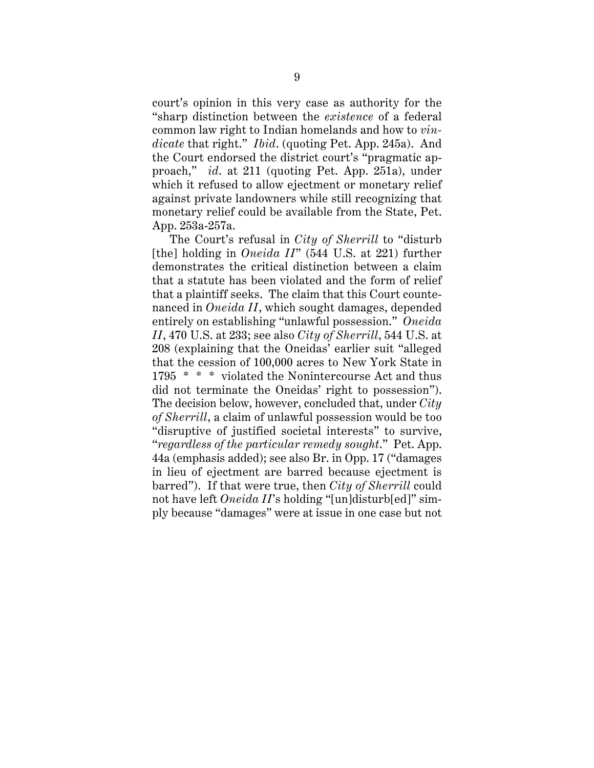court's opinion in this very case as authority for the "sharp distinction between the *existence* of a federal common law right to Indian homelands and how to *vindicate* that right." *Ibid*. (quoting Pet. App. 245a). And the Court endorsed the district court's "pragmatic approach," *id*. at 211 (quoting Pet. App. 251a), under which it refused to allow ejectment or monetary relief against private landowners while still recognizing that monetary relief could be available from the State, Pet. App. 253a-257a.

The Court's refusal in *City of Sherrill* to "disturb [the] holding in *Oneida II*" (544 U.S. at 221) further demonstrates the critical distinction between a claim that a statute has been violated and the form of relief that a plaintiff seeks. The claim that this Court countenanced in *Oneida II*, which sought damages, depended entirely on establishing "unlawful possession." *Oneida II*, 470 U.S. at 233; see also *City of Sherrill*, 544 U.S. at 208 (explaining that the Oneidas' earlier suit "alleged that the cession of 100,000 acres to New York State in 1795 \* \* \* violated the Nonintercourse Act and thus did not terminate the Oneidas' right to possession"). The decision below, however, concluded that, under *City of Sherrill*, a claim of unlawful possession would be too "disruptive of justified societal interests" to survive, "*regardless of the particular remedy sought*." Pet. App. 44a (emphasis added); see also Br. in Opp. 17 ("damages in lieu of ejectment are barred because ejectment is barred"). If that were true, then *City of Sherrill* could not have left *Oneida II*'s holding "[un]disturb[ed]" simply because "damages" were at issue in one case but not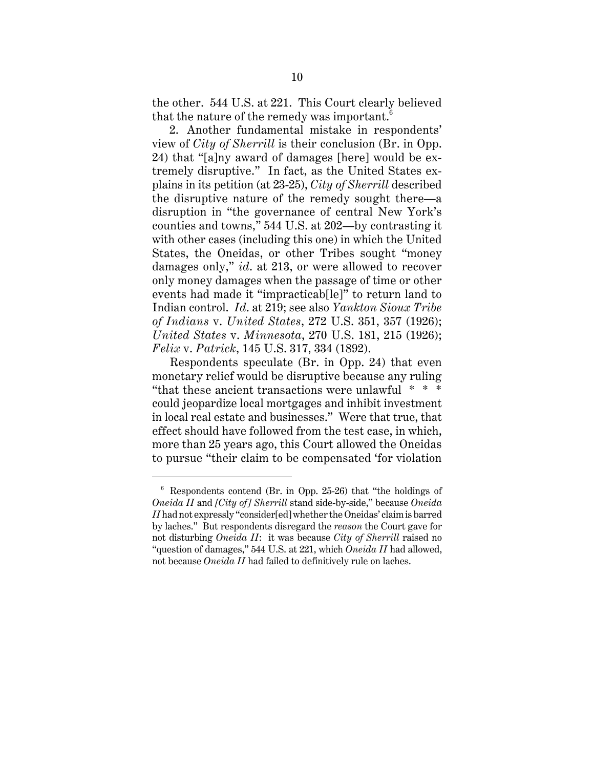the other. 544 U.S. at 221. This Court clearly believed that the nature of the remedy was important.<sup>6</sup>

2. Another fundamental mistake in respondents' view of *City of Sherrill* is their conclusion (Br. in Opp. 24) that "[a]ny award of damages [here] would be extremely disruptive." In fact, as the United States explains in its petition (at 23-25), *City of Sherrill* described the disruptive nature of the remedy sought there—a disruption in "the governance of central New York's counties and towns," 544 U.S. at 202—by contrasting it with other cases (including this one) in which the United States, the Oneidas, or other Tribes sought "money damages only," *id*. at 213, or were allowed to recover only money damages when the passage of time or other events had made it "impracticab[le]" to return land to Indian control. *Id*. at 219; see also *Yankton Sioux Tribe of Indians* v. *United States*, 272 U.S. 351, 357 (1926); *United States* v. *Minnesota*, 270 U.S. 181, 215 (1926); *Felix* v. *Patrick*, 145 U.S. 317, 334 (1892).

Respondents speculate (Br. in Opp. 24) that even monetary relief would be disruptive because any ruling "that these ancient transactions were unlawful \* \* \* could jeopardize local mortgages and inhibit investment in local real estate and businesses." Were that true, that effect should have followed from the test case, in which, more than 25 years ago, this Court allowed the Oneidas to pursue "their claim to be compensated 'for violation

 $6$  Respondents contend (Br. in Opp. 25-26) that "the holdings of *Oneida II* and *[City of] Sherrill* stand side-by-side," because *Oneida II* had not expressly "consider[ed] whether the Oneidas' claim is barred by laches." But respondents disregard the *reason* the Court gave for not disturbing *Oneida II*: it was because *City of Sherrill* raised no "question of damages," 544 U.S. at 221, which *Oneida II* had allowed, not because *Oneida II* had failed to definitively rule on laches.